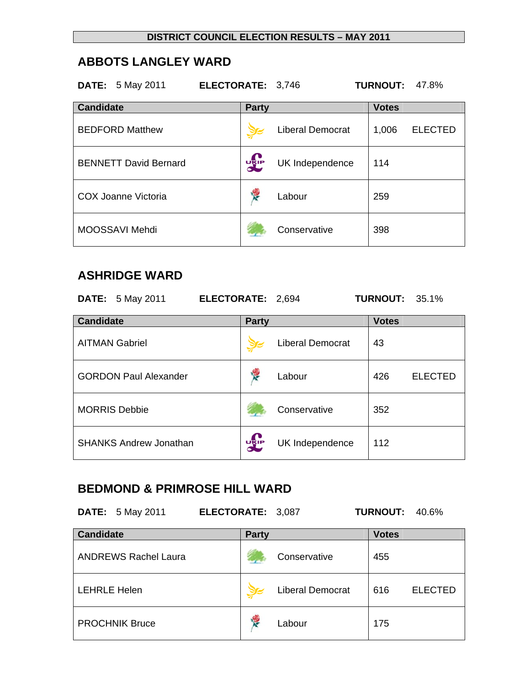### **ABBOTS LANGLEY WARD**

|                  | <b>DATE:</b> 5 May 2011      | ELECTORATE: 3,746 |                         | <b>TURNOUT:</b> | 47.8%          |
|------------------|------------------------------|-------------------|-------------------------|-----------------|----------------|
| <b>Candidate</b> |                              | <b>Party</b>      |                         | <b>Votes</b>    |                |
|                  | <b>BEDFORD Matthew</b>       |                   | <b>Liberal Democrat</b> | 1,006           | <b>ELECTED</b> |
|                  | <b>BENNETT David Bernard</b> | <b>DEP</b>        | UK Independence         | 114             |                |
|                  | <b>COX Joanne Victoria</b>   |                   | Labour                  | 259             |                |
|                  | MOOSSAVI Mehdi               |                   | Conservative            | 398             |                |

## **ASHRIDGE WARD**

|                  | <b>DATE:</b> 5 May 2011       | ELECTORATE: 2,694 |              |                         | <b>TURNOUT: 35.1%</b> |                |
|------------------|-------------------------------|-------------------|--------------|-------------------------|-----------------------|----------------|
| <b>Candidate</b> |                               |                   | <b>Party</b> |                         | <b>Votes</b>          |                |
|                  | <b>AITMAN Gabriel</b>         |                   |              | <b>Liberal Democrat</b> | 43                    |                |
|                  | <b>GORDON Paul Alexander</b>  |                   | <b>REA</b>   | Labour                  | 426                   | <b>ELECTED</b> |
|                  | <b>MORRIS Debbie</b>          |                   |              | Conservative            | 352                   |                |
|                  | <b>SHANKS Andrew Jonathan</b> |                   | <b>DELP</b>  | UK Independence         | 112                   |                |

## **BEDMOND & PRIMROSE HILL WARD**

**DATE:** 5 May 2011 **ELECTORATE:** 3,087 **TURNOUT:** 40.6%

| <b>Candidate</b>            | <b>Party</b> |                         | <b>Votes</b> |                |
|-----------------------------|--------------|-------------------------|--------------|----------------|
| <b>ANDREWS Rachel Laura</b> |              | Conservative            | 455          |                |
| <b>LEHRLE Helen</b>         |              | <b>Liberal Democrat</b> | 616          | <b>ELECTED</b> |
| <b>PROCHNIK Bruce</b>       | 馋            | Labour                  | 175          |                |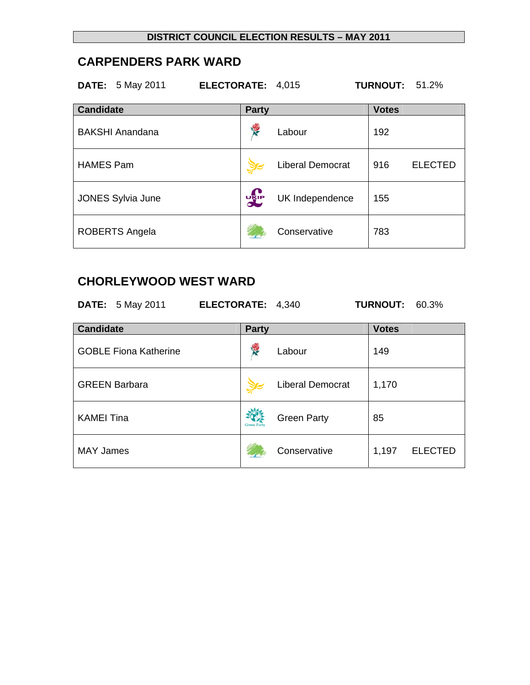### **CARPENDERS PARK WARD**

**DATE:** 5 May 2011 **ELECTORATE:** 4,015 **TURNOUT:** 51.2%

| <b>Candidate</b>         | <b>Party</b> |                         | <b>Votes</b> |                |
|--------------------------|--------------|-------------------------|--------------|----------------|
| <b>BAKSHI Anandana</b>   | 慢            | Labour                  | 192          |                |
| <b>HAMES Pam</b>         |              | <b>Liberal Democrat</b> | 916          | <b>ELECTED</b> |
| <b>JONES Sylvia June</b> | <b>UKIP</b>  | UK Independence         | 155          |                |
| ROBERTS Angela           |              | Conservative            | 783          |                |

## **CHORLEYWOOD WEST WARD**

| <b>DATE:</b> 5 May 2011      | ELECTORATE: 4,340  |                         | <b>TURNOUT: 60.3%</b> |                |
|------------------------------|--------------------|-------------------------|-----------------------|----------------|
| <b>Candidate</b>             | <b>Party</b>       |                         | <b>Votes</b>          |                |
| <b>GOBLE Fiona Katherine</b> | <b>RE</b>          | Labour                  | 149                   |                |
| <b>GREEN Barbara</b>         |                    | <b>Liberal Democrat</b> | 1,170                 |                |
| <b>KAMEI Tina</b>            | <b>Green Party</b> | <b>Green Party</b>      | 85                    |                |
| <b>MAY James</b>             |                    | Conservative            | 1,197                 | <b>ELECTED</b> |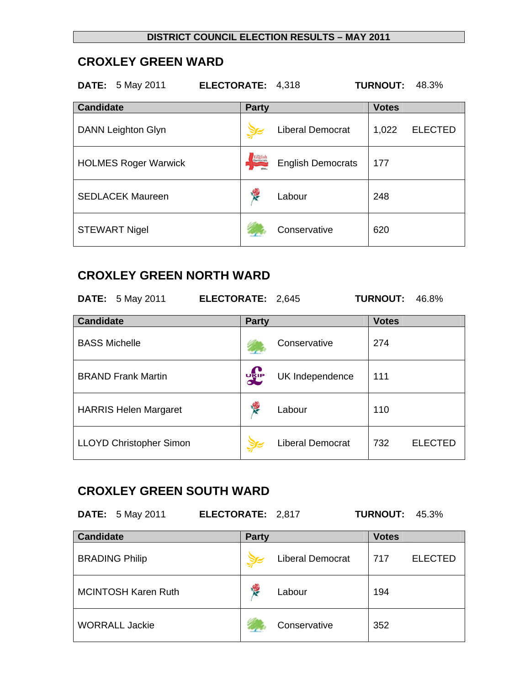### **CROXLEY GREEN WARD**

| <b>DATE:</b> 5 May 2011     | ELECTORATE: 4,318 |                          | <b>TURNOUT:</b><br>48.3% |
|-----------------------------|-------------------|--------------------------|--------------------------|
| <b>Candidate</b>            | <b>Party</b>      |                          | <b>Votes</b>             |
| <b>DANN Leighton Glyn</b>   |                   | <b>Liberal Democrat</b>  | <b>ELECTED</b><br>1,022  |
| <b>HOLMES Roger Warwick</b> | Erichsh           | <b>English Democrats</b> | 177                      |
| <b>SEDLACEK Maureen</b>     |                   | Labour                   | 248                      |
| <b>STEWART Nigel</b>        |                   | Conservative             | 620                      |

## **CROXLEY GREEN NORTH WARD**

| <b>DATE:</b> 5 May 2011        | ELECTORATE: 2,645 |                         | <b>TURNOUT:</b><br>46.8% |
|--------------------------------|-------------------|-------------------------|--------------------------|
| Candidate                      | <b>Party</b>      |                         | <b>Votes</b>             |
| <b>BASS Michelle</b>           |                   | Conservative            | 274                      |
| <b>BRAND Frank Martin</b>      | <b>DELP</b>       | UK Independence         | 111                      |
| <b>HARRIS Helen Margaret</b>   | <b>REA</b>        | Labour                  | 110                      |
| <b>LLOYD Christopher Simon</b> |                   | <b>Liberal Democrat</b> | 732<br><b>ELECTED</b>    |

### **CROXLEY GREEN SOUTH WARD**

**DATE:** 5 May 2011 **ELECTORATE:** 2,817 **TURNOUT:** 45.3%

| <b>Candidate</b>           | <b>Party</b> |                         | <b>Votes</b> |                |
|----------------------------|--------------|-------------------------|--------------|----------------|
| <b>BRADING Philip</b>      |              | <b>Liberal Democrat</b> | 717          | <b>ELECTED</b> |
| <b>MCINTOSH Karen Ruth</b> | <b>SER</b>   | Labour                  | 194          |                |
| <b>WORRALL Jackie</b>      |              | Conservative            | 352          |                |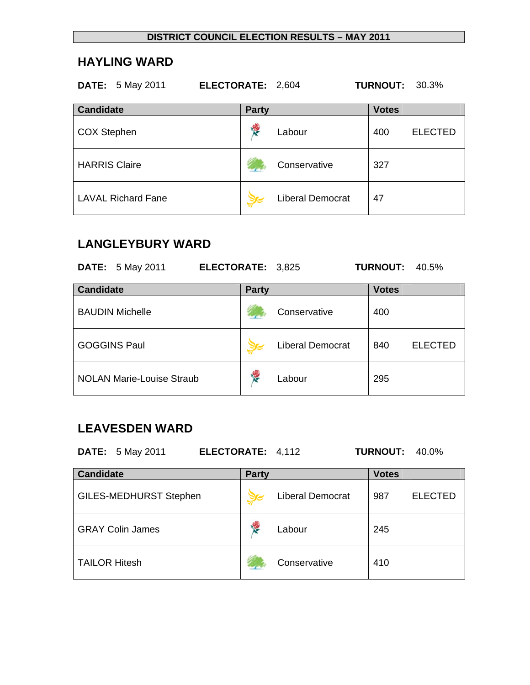## **HAYLING WARD**

| <b>DATE:</b> 5 May 2011   | ELECTORATE: 2,604 |                         | <b>TURNOUT: 30.3%</b> |                |
|---------------------------|-------------------|-------------------------|-----------------------|----------------|
| <b>Candidate</b>          | <b>Party</b>      |                         | <b>Votes</b>          |                |
| <b>COX Stephen</b>        | 慢                 | Labour                  | 400                   | <b>ELECTED</b> |
| <b>HARRIS Claire</b>      |                   | Conservative            | 327                   |                |
| <b>LAVAL Richard Fane</b> |                   | <b>Liberal Democrat</b> | 47                    |                |

## **LANGLEYBURY WARD**

| <b>DATE:</b> 5 May 2011          | ELECTORATE: 3,825 |                         | <b>TURNOUT:</b> | 40.5%          |
|----------------------------------|-------------------|-------------------------|-----------------|----------------|
| <b>Candidate</b>                 | <b>Party</b>      |                         | <b>Votes</b>    |                |
| <b>BAUDIN Michelle</b>           |                   | Conservative            | 400             |                |
| <b>GOGGINS Paul</b>              |                   | <b>Liberal Democrat</b> | 840             | <b>ELECTED</b> |
| <b>NOLAN Marie-Louise Straub</b> | <b>REA</b>        | Labour                  | 295             |                |

#### **LEAVESDEN WARD**

**DATE:** 5 May 2011 **ELECTORATE:** 4,112 **TURNOUT:** 40.0%

| <b>Candidate</b>              | <b>Party</b> |                         | <b>Votes</b> |                |
|-------------------------------|--------------|-------------------------|--------------|----------------|
| <b>GILES-MEDHURST Stephen</b> |              | <b>Liberal Democrat</b> | 987          | <b>ELECTED</b> |
| <b>GRAY Colin James</b>       | Ķ<br>Labour  |                         | 245          |                |
| <b>TAILOR Hitesh</b>          |              | Conservative            | 410          |                |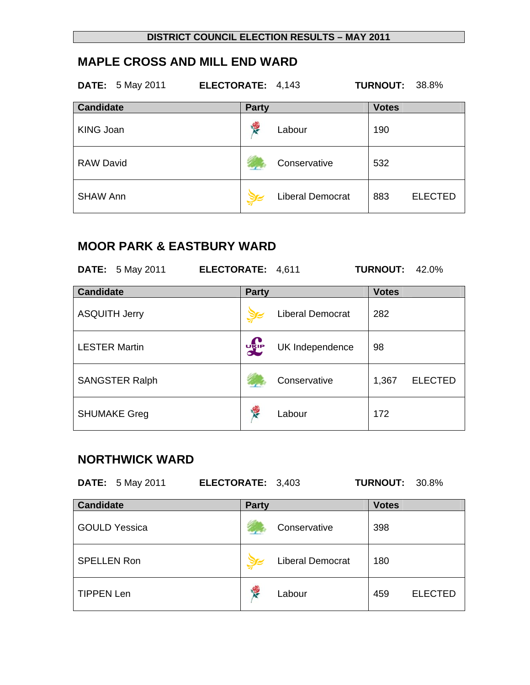# **MAPLE CROSS AND MILL END WARD**

| <b>DATE:</b> 5 May 2011 | ELECTORATE: 4,143 |                         | <b>TURNOUT:</b> | 38.8%          |
|-------------------------|-------------------|-------------------------|-----------------|----------------|
| <b>Candidate</b>        | <b>Party</b>      |                         | <b>Votes</b>    |                |
| <b>KING Joan</b>        | 慢                 | Labour                  | 190             |                |
| <b>RAW David</b>        |                   | Conservative            | 532             |                |
| <b>SHAW Ann</b>         |                   | <b>Liberal Democrat</b> | 883             | <b>ELECTED</b> |

## **MOOR PARK & EASTBURY WARD**

| <b>DATE:</b> 5 May 2011 | ELECTORATE: 4,611 |                         | <b>TURNOUT:</b><br>$42.0\%$ |
|-------------------------|-------------------|-------------------------|-----------------------------|
| <b>Candidate</b>        | <b>Party</b>      |                         | <b>Votes</b>                |
| <b>ASQUITH Jerry</b>    |                   | <b>Liberal Democrat</b> | 282                         |
| <b>LESTER Martin</b>    | <b>DEP</b>        | UK Independence         | 98                          |
| <b>SANGSTER Ralph</b>   |                   | Conservative            | 1,367<br><b>ELECTED</b>     |
| <b>SHUMAKE Greg</b>     |                   | Labour                  | 172                         |

## **NORTHWICK WARD**

| <b>DATE:</b> 5 May 2011 | ELECTORATE: 3,403 |                         | <b>TURNOUT: 30.8%</b> |                |
|-------------------------|-------------------|-------------------------|-----------------------|----------------|
| <b>Candidate</b>        | <b>Party</b>      |                         | <b>Votes</b>          |                |
| <b>GOULD Yessica</b>    |                   | Conservative            | 398                   |                |
| <b>SPELLEN Ron</b>      |                   | <b>Liberal Democrat</b> | 180                   |                |
| <b>TIPPEN Len</b>       | <b>REA</b>        | Labour                  | 459                   | <b>ELECTED</b> |